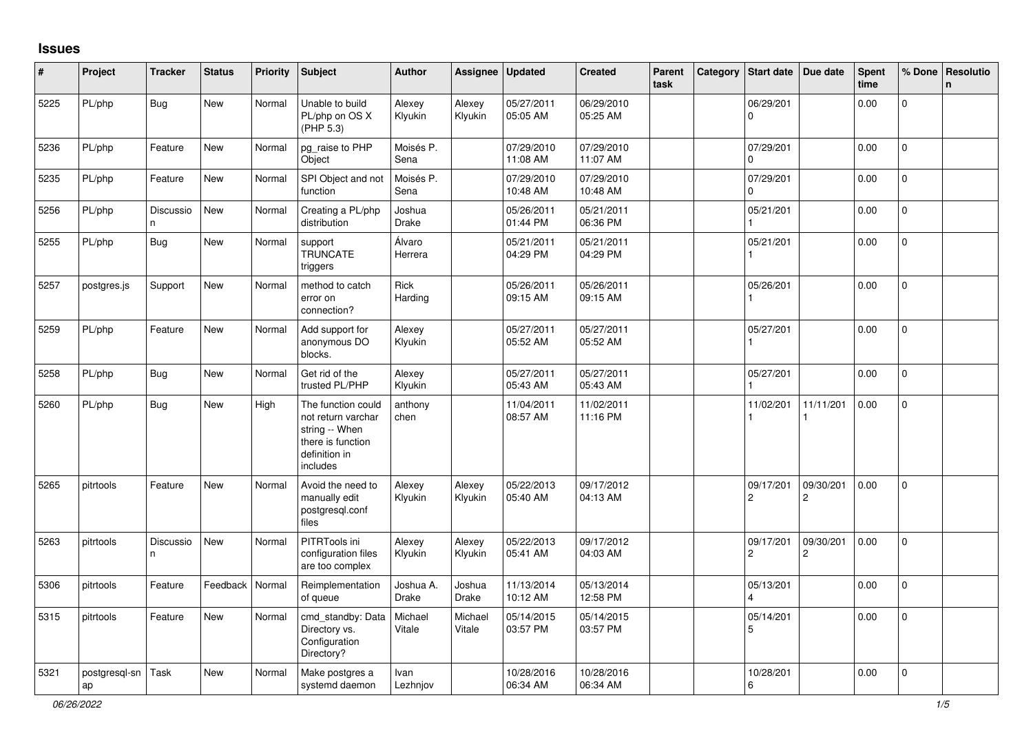## **Issues**

| $\sharp$ | Project             | <b>Tracker</b>  | <b>Status</b> | <b>Priority</b> | <b>Subject</b>                                                                                               | <b>Author</b>          | <b>Assignee</b>   | <b>Updated</b>         | <b>Created</b>         | Parent<br>task | Category Start date                  | Due date                    | <b>Spent</b><br>time | % Done       | Resolutio<br>n |
|----------|---------------------|-----------------|---------------|-----------------|--------------------------------------------------------------------------------------------------------------|------------------------|-------------------|------------------------|------------------------|----------------|--------------------------------------|-----------------------------|----------------------|--------------|----------------|
| 5225     | PL/php              | <b>Bug</b>      | <b>New</b>    | Normal          | Unable to build<br>PL/php on OS X<br>(PHP 5.3)                                                               | Alexey<br>Klyukin      | Alexey<br>Klyukin | 05/27/2011<br>05:05 AM | 06/29/2010<br>05:25 AM |                | 06/29/201<br>$\mathbf 0$             |                             | 0.00                 | $\mathbf{0}$ |                |
| 5236     | PL/php              | Feature         | New           | Normal          | pg_raise to PHP<br>Object                                                                                    | Moisés P.<br>Sena      |                   | 07/29/2010<br>11:08 AM | 07/29/2010<br>11:07 AM |                | 07/29/201<br>$\Omega$                |                             | 0.00                 | $\Omega$     |                |
| 5235     | PL/php              | Feature         | New           | Normal          | SPI Object and not<br>function                                                                               | Moisés P.<br>Sena      |                   | 07/29/2010<br>10:48 AM | 07/29/2010<br>10:48 AM |                | 07/29/201<br>$\Omega$                |                             | 0.00                 | $\mathbf 0$  |                |
| 5256     | PL/php              | Discussio<br>n. | New           | Normal          | Creating a PL/php<br>distribution                                                                            | Joshua<br><b>Drake</b> |                   | 05/26/2011<br>01:44 PM | 05/21/2011<br>06:36 PM |                | 05/21/201                            |                             | 0.00                 | $\mathbf 0$  |                |
| 5255     | PL/php              | <b>Bug</b>      | New           | Normal          | support<br><b>TRUNCATE</b><br>triggers                                                                       | Álvaro<br>Herrera      |                   | 05/21/2011<br>04:29 PM | 05/21/2011<br>04:29 PM |                | 05/21/201                            |                             | 0.00                 | $\Omega$     |                |
| 5257     | postgres.js         | Support         | New           | Normal          | method to catch<br>error on<br>connection?                                                                   | Rick<br>Harding        |                   | 05/26/2011<br>09:15 AM | 05/26/2011<br>09:15 AM |                | 05/26/201                            |                             | 0.00                 | 0            |                |
| 5259     | PL/php              | Feature         | New           | Normal          | Add support for<br>anonymous DO<br>blocks.                                                                   | Alexey<br>Klyukin      |                   | 05/27/2011<br>05:52 AM | 05/27/2011<br>05:52 AM |                | 05/27/201                            |                             | 0.00                 | $\mathbf 0$  |                |
| 5258     | PL/php              | <b>Bug</b>      | New           | Normal          | Get rid of the<br>trusted PL/PHP                                                                             | Alexey<br>Klyukin      |                   | 05/27/2011<br>05:43 AM | 05/27/2011<br>05:43 AM |                | 05/27/201                            |                             | 0.00                 | $\mathbf 0$  |                |
| 5260     | PL/php              | <b>Bug</b>      | New           | High            | The function could<br>not return varchar<br>string -- When<br>there is function<br>definition in<br>includes | anthony<br>chen        |                   | 11/04/2011<br>08:57 AM | 11/02/2011<br>11:16 PM |                | 11/02/201                            | 11/11/201                   | 0.00                 | $\Omega$     |                |
| 5265     | pitrtools           | Feature         | New           | Normal          | Avoid the need to<br>manually edit<br>postgresql.conf<br>files                                               | Alexey<br>Klyukin      | Alexey<br>Klyukin | 05/22/2013<br>05:40 AM | 09/17/2012<br>04:13 AM |                | 09/17/201<br>$\overline{2}$          | 09/30/201<br>$\overline{2}$ | 0.00                 | 0            |                |
| 5263     | pitrtools           | Discussio<br>n  | <b>New</b>    | Normal          | PITRTools ini<br>configuration files<br>are too complex                                                      | Alexey<br>Klyukin      | Alexey<br>Klyukin | 05/22/2013<br>05:41 AM | 09/17/2012<br>04:03 AM |                | 09/17/201<br>$\mathbf{2}$            | 09/30/201<br>$\overline{2}$ | 0.00                 | $\Omega$     |                |
| 5306     | pitrtools           | Feature         | Feedback      | Normal          | Reimplementation<br>of queue                                                                                 | Joshua A.<br>Drake     | Joshua<br>Drake   | 11/13/2014<br>10:12 AM | 05/13/2014<br>12:58 PM |                | 05/13/201<br>$\overline{\mathbf{A}}$ |                             | 0.00                 | $\Omega$     |                |
| 5315     | pitrtools           | Feature         | New           | Normal          | cmd_standby: Data<br>Directory vs.<br>Configuration<br>Directory?                                            | Michael<br>Vitale      | Michael<br>Vitale | 05/14/2015<br>03:57 PM | 05/14/2015<br>03:57 PM |                | 05/14/201<br>5                       |                             | 0.00                 | $\mathbf 0$  |                |
| 5321     | postgresql-sn<br>ap | Task            | New           | Normal          | Make postgres a<br>systemd daemon                                                                            | Ivan<br>Lezhnjov       |                   | 10/28/2016<br>06:34 AM | 10/28/2016<br>06:34 AM |                | 10/28/201<br>6                       |                             | 0.00                 | 0            |                |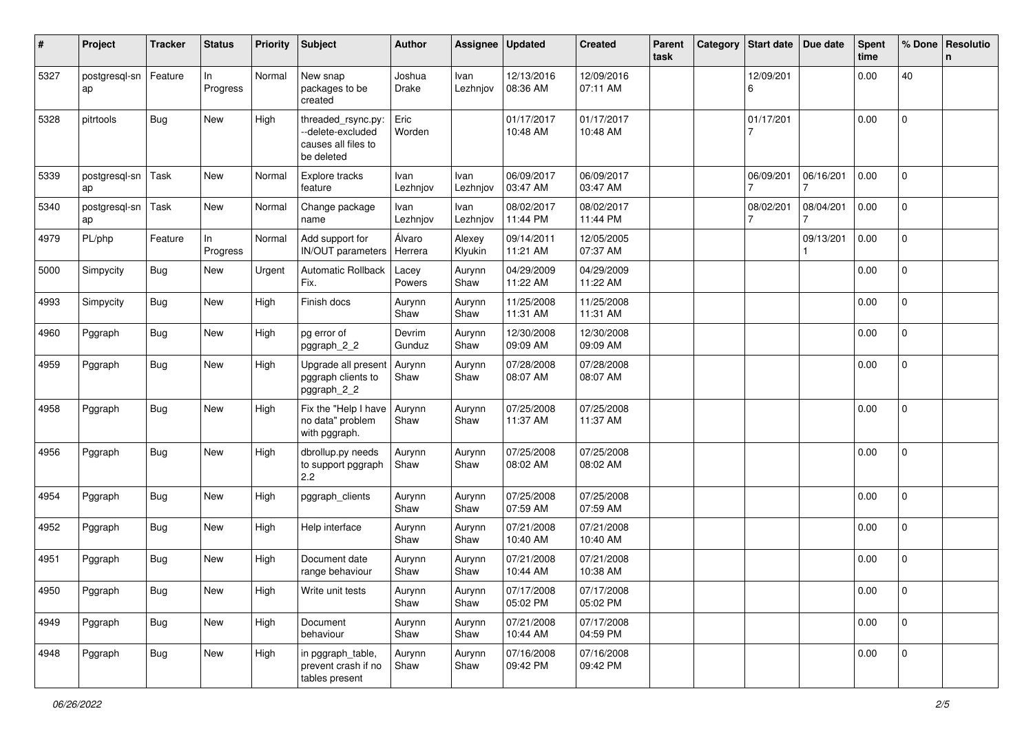| #    | Project             | <b>Tracker</b> | <b>Status</b>  | <b>Priority</b> | <b>Subject</b>                                                               | Author            | Assignee          | Updated                | <b>Created</b>         | Parent<br>task | Category | <b>Start date</b>           | Due date       | <b>Spent</b><br>time | % Done         | Resolutio<br>n. |
|------|---------------------|----------------|----------------|-----------------|------------------------------------------------------------------------------|-------------------|-------------------|------------------------|------------------------|----------------|----------|-----------------------------|----------------|----------------------|----------------|-----------------|
| 5327 | postgresql-sn<br>ap | Feature        | In<br>Progress | Normal          | New snap<br>packages to be<br>created                                        | Joshua<br>Drake   | Ivan<br>Lezhnjov  | 12/13/2016<br>08:36 AM | 12/09/2016<br>07:11 AM |                |          | 12/09/201<br>6              |                | 0.00                 | 40             |                 |
| 5328 | pitrtools           | Bug            | New            | High            | threaded_rsync.py:<br>--delete-excluded<br>causes all files to<br>be deleted | Eric<br>Worden    |                   | 01/17/2017<br>10:48 AM | 01/17/2017<br>10:48 AM |                |          | 01/17/201                   |                | 0.00                 | $\mathbf 0$    |                 |
| 5339 | postgresql-sn<br>ap | Task           | New            | Normal          | Explore tracks<br>feature                                                    | Ivan<br>Lezhnjov  | Ivan<br>Lezhnjov  | 06/09/2017<br>03:47 AM | 06/09/2017<br>03:47 AM |                |          | 06/09/201<br>$\overline{7}$ | 06/16/201<br>7 | 0.00                 | $\overline{0}$ |                 |
| 5340 | postgresql-sn<br>ap | Task           | New            | Normal          | Change package<br>name                                                       | Ivan<br>Lezhnjov  | Ivan<br>Lezhnjov  | 08/02/2017<br>11:44 PM | 08/02/2017<br>11:44 PM |                |          | 08/02/201                   | 08/04/201      | 0.00                 | $\mathbf 0$    |                 |
| 4979 | PL/php              | Feature        | In<br>Progress | Normal          | Add support for<br>IN/OUT parameters                                         | Álvaro<br>Herrera | Alexey<br>Klyukin | 09/14/2011<br>11:21 AM | 12/05/2005<br>07:37 AM |                |          |                             | 09/13/201      | 0.00                 | $\mathbf 0$    |                 |
| 5000 | Simpycity           | <b>Bug</b>     | New            | Urgent          | <b>Automatic Rollback</b><br>Fix.                                            | Lacey<br>Powers   | Aurynn<br>Shaw    | 04/29/2009<br>11:22 AM | 04/29/2009<br>11:22 AM |                |          |                             |                | 0.00                 | 0              |                 |
| 4993 | Simpycity           | <b>Bug</b>     | New            | High            | Finish docs                                                                  | Aurynn<br>Shaw    | Aurynn<br>Shaw    | 11/25/2008<br>11:31 AM | 11/25/2008<br>11:31 AM |                |          |                             |                | 0.00                 | 0              |                 |
| 4960 | Pggraph             | <b>Bug</b>     | New            | High            | pg error of<br>pggraph 2 2                                                   | Devrim<br>Gunduz  | Aurynn<br>Shaw    | 12/30/2008<br>09:09 AM | 12/30/2008<br>09:09 AM |                |          |                             |                | 0.00                 | 0              |                 |
| 4959 | Pggraph             | <b>Bug</b>     | New            | High            | Upgrade all present<br>pggraph clients to<br>pggraph_2_2                     | Aurynn<br>Shaw    | Aurynn<br>Shaw    | 07/28/2008<br>08:07 AM | 07/28/2008<br>08:07 AM |                |          |                             |                | 0.00                 | $\mathbf{0}$   |                 |
| 4958 | Pggraph             | Bug            | New            | High            | Fix the "Help I have<br>no data" problem<br>with pggraph.                    | Aurynn<br>Shaw    | Aurynn<br>Shaw    | 07/25/2008<br>11:37 AM | 07/25/2008<br>11:37 AM |                |          |                             |                | 0.00                 | $\overline{0}$ |                 |
| 4956 | Pggraph             | <b>Bug</b>     | New            | High            | dbrollup.py needs<br>to support pggraph<br>2.2                               | Aurynn<br>Shaw    | Aurynn<br>Shaw    | 07/25/2008<br>08:02 AM | 07/25/2008<br>08:02 AM |                |          |                             |                | 0.00                 | $\overline{0}$ |                 |
| 4954 | Pggraph             | Bug            | New            | High            | pggraph_clients                                                              | Aurynn<br>Shaw    | Aurynn<br>Shaw    | 07/25/2008<br>07:59 AM | 07/25/2008<br>07:59 AM |                |          |                             |                | 0.00                 | 0              |                 |
| 4952 | Pggraph             | Bug            | New            | High            | Help interface                                                               | Aurynn<br>Shaw    | Aurynn<br>Shaw    | 07/21/2008<br>10:40 AM | 07/21/2008<br>10:40 AM |                |          |                             |                | 0.00                 | $\mathbf{0}$   |                 |
| 4951 | Pggraph             | <b>Bug</b>     | New            | High            | Document date<br>range behaviour                                             | Aurynn<br>Shaw    | Aurynn<br>Shaw    | 07/21/2008<br>10:44 AM | 07/21/2008<br>10:38 AM |                |          |                             |                | 0.00                 | 0              |                 |
| 4950 | Pggraph             | <b>Bug</b>     | New            | High            | Write unit tests                                                             | Aurynn<br>Shaw    | Aurynn<br>Shaw    | 07/17/2008<br>05:02 PM | 07/17/2008<br>05:02 PM |                |          |                             |                | 0.00                 | $\overline{0}$ |                 |
| 4949 | Pggraph             | <b>Bug</b>     | New            | High            | Document<br>behaviour                                                        | Aurynn<br>Shaw    | Aurynn<br>Shaw    | 07/21/2008<br>10:44 AM | 07/17/2008<br>04:59 PM |                |          |                             |                | 0.00                 | $\mathbf{0}$   |                 |
| 4948 | Pggraph             | Bug            | New            | High            | in pggraph_table,<br>prevent crash if no<br>tables present                   | Aurynn<br>Shaw    | Aurynn<br>Shaw    | 07/16/2008<br>09:42 PM | 07/16/2008<br>09:42 PM |                |          |                             |                | 0.00                 | $\mathbf{0}$   |                 |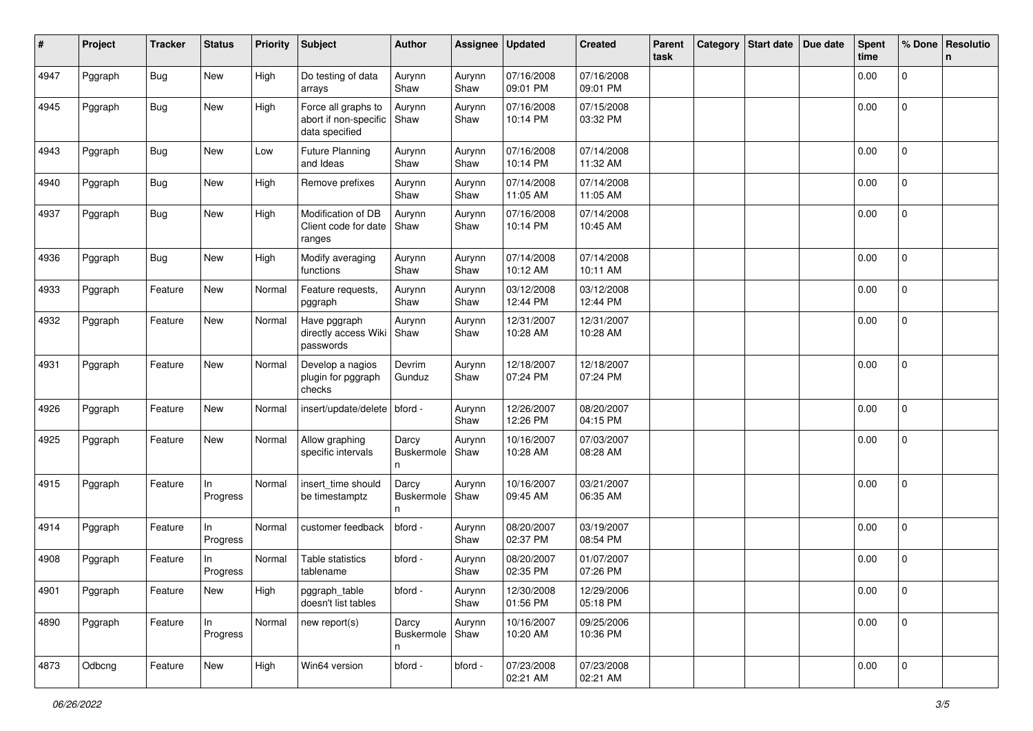| #    | Project | Tracker    | <b>Status</b>  | <b>Priority</b> | <b>Subject</b>                                                 | <b>Author</b>                   | Assignee       | <b>Updated</b>         | <b>Created</b>         | Parent<br>task | Category | <b>Start date</b> | Due date | <b>Spent</b><br>time | % Done       | Resolutio<br>n |
|------|---------|------------|----------------|-----------------|----------------------------------------------------------------|---------------------------------|----------------|------------------------|------------------------|----------------|----------|-------------------|----------|----------------------|--------------|----------------|
| 4947 | Pggraph | <b>Bug</b> | New            | High            | Do testing of data<br>arrays                                   | Aurynn<br>Shaw                  | Aurynn<br>Shaw | 07/16/2008<br>09:01 PM | 07/16/2008<br>09:01 PM |                |          |                   |          | 0.00                 | 0            |                |
| 4945 | Pggraph | Bug        | New            | High            | Force all graphs to<br>abort if non-specific<br>data specified | Aurynn<br>Shaw                  | Aurynn<br>Shaw | 07/16/2008<br>10:14 PM | 07/15/2008<br>03:32 PM |                |          |                   |          | 0.00                 | 0            |                |
| 4943 | Pggraph | Bug        | New            | Low             | <b>Future Planning</b><br>and Ideas                            | Aurynn<br>Shaw                  | Aurynn<br>Shaw | 07/16/2008<br>10:14 PM | 07/14/2008<br>11:32 AM |                |          |                   |          | 0.00                 | $\mathbf{0}$ |                |
| 4940 | Pggraph | <b>Bug</b> | New            | High            | Remove prefixes                                                | Aurynn<br>Shaw                  | Aurynn<br>Shaw | 07/14/2008<br>11:05 AM | 07/14/2008<br>11:05 AM |                |          |                   |          | 0.00                 | 0            |                |
| 4937 | Pggraph | <b>Bug</b> | New            | High            | Modification of DB<br>Client code for date<br>ranges           | Aurynn<br>Shaw                  | Aurynn<br>Shaw | 07/16/2008<br>10:14 PM | 07/14/2008<br>10:45 AM |                |          |                   |          | 0.00                 | 0            |                |
| 4936 | Pggraph | <b>Bug</b> | New            | High            | Modify averaging<br>functions                                  | Aurynn<br>Shaw                  | Aurynn<br>Shaw | 07/14/2008<br>10:12 AM | 07/14/2008<br>10:11 AM |                |          |                   |          | 0.00                 | 0            |                |
| 4933 | Pggraph | Feature    | New            | Normal          | Feature requests,<br>pggraph                                   | Aurynn<br>Shaw                  | Aurynn<br>Shaw | 03/12/2008<br>12:44 PM | 03/12/2008<br>12:44 PM |                |          |                   |          | 0.00                 | 0            |                |
| 4932 | Pggraph | Feature    | New            | Normal          | Have pggraph<br>directly access Wiki<br>passwords              | Aurynn<br>Shaw                  | Aurynn<br>Shaw | 12/31/2007<br>10:28 AM | 12/31/2007<br>10:28 AM |                |          |                   |          | 0.00                 | 0            |                |
| 4931 | Pggraph | Feature    | New            | Normal          | Develop a nagios<br>plugin for pggraph<br>checks               | Devrim<br>Gunduz                | Aurynn<br>Shaw | 12/18/2007<br>07:24 PM | 12/18/2007<br>07:24 PM |                |          |                   |          | 0.00                 | $\mathbf 0$  |                |
| 4926 | Pggraph | Feature    | New            | Normal          | insert/update/delete   bford -                                 |                                 | Aurynn<br>Shaw | 12/26/2007<br>12:26 PM | 08/20/2007<br>04:15 PM |                |          |                   |          | 0.00                 | $\mathbf 0$  |                |
| 4925 | Pggraph | Feature    | New            | Normal          | Allow graphing<br>specific intervals                           | Darcy<br>Buskermole<br>n        | Aurynn<br>Shaw | 10/16/2007<br>10:28 AM | 07/03/2007<br>08:28 AM |                |          |                   |          | 0.00                 | 0            |                |
| 4915 | Pggraph | Feature    | In<br>Progress | Normal          | insert time should<br>be timestamptz                           | Darcy<br>Buskermole<br>n        | Aurynn<br>Shaw | 10/16/2007<br>09:45 AM | 03/21/2007<br>06:35 AM |                |          |                   |          | 0.00                 | 0            |                |
| 4914 | Pggraph | Feature    | In<br>Progress | Normal          | customer feedback                                              | bford -                         | Aurynn<br>Shaw | 08/20/2007<br>02:37 PM | 03/19/2007<br>08:54 PM |                |          |                   |          | 0.00                 | 0            |                |
| 4908 | Pggraph | Feature    | In<br>Progress | Normal          | Table statistics<br>tablename                                  | bford -                         | Aurynn<br>Shaw | 08/20/2007<br>02:35 PM | 01/07/2007<br>07:26 PM |                |          |                   |          | 0.00                 | 0            |                |
| 4901 | Pggraph | Feature    | New            | High            | pggraph_table<br>doesn't list tables                           | bford -                         | Aurynn<br>Shaw | 12/30/2008<br>01:56 PM | 12/29/2006<br>05:18 PM |                |          |                   |          | 0.00                 | 0            |                |
| 4890 | Pggraph | Feature    | In<br>Progress | Normal          | new report(s)                                                  | Darcy<br>Buskermole   Shaw<br>n | Aurynn         | 10/16/2007<br>10:20 AM | 09/25/2006<br>10:36 PM |                |          |                   |          | 0.00                 | $\mathbf{0}$ |                |
| 4873 | Odbcng  | Feature    | New            | High            | Win64 version                                                  | bford -                         | bford -        | 07/23/2008<br>02:21 AM | 07/23/2008<br>02:21 AM |                |          |                   |          | 0.00                 | 0            |                |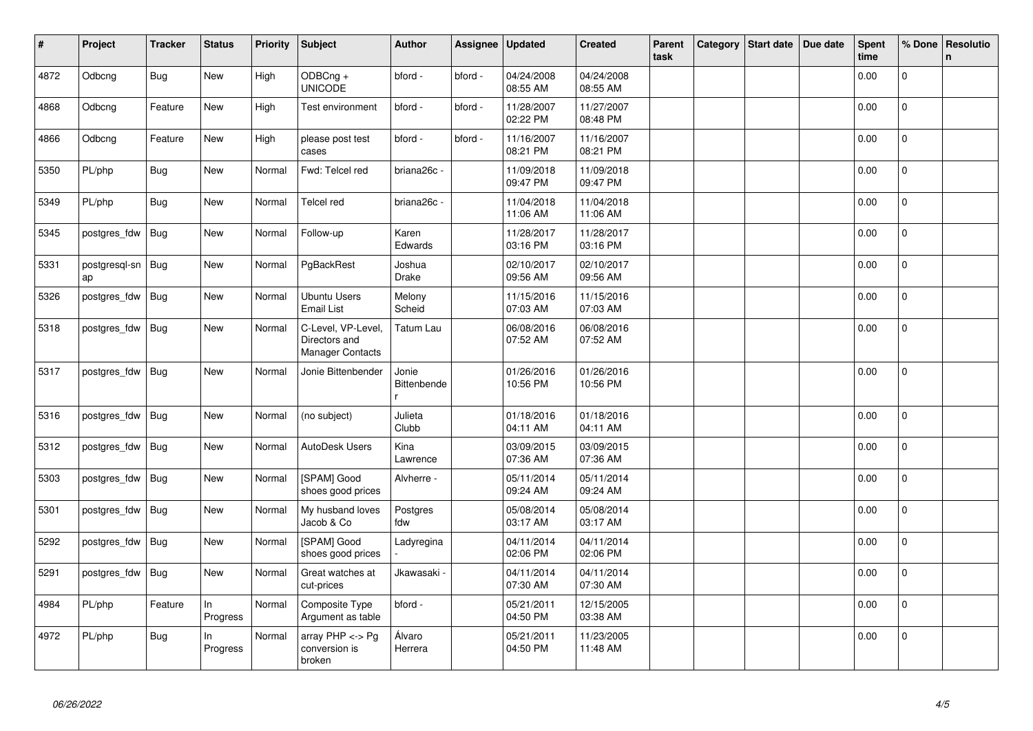| #    | Project             | <b>Tracker</b> | <b>Status</b>  | <b>Priority</b> | <b>Subject</b>                                          | <b>Author</b>          | Assignee | <b>Updated</b>         | <b>Created</b>         | Parent<br>task | Category | Start date | Due date | <b>Spent</b><br>time | % Done         | Resolutio<br>$\mathsf{n}$ |
|------|---------------------|----------------|----------------|-----------------|---------------------------------------------------------|------------------------|----------|------------------------|------------------------|----------------|----------|------------|----------|----------------------|----------------|---------------------------|
| 4872 | Odbcng              | <b>Bug</b>     | New            | High            | ODBCng +<br><b>UNICODE</b>                              | bford -                | bford -  | 04/24/2008<br>08:55 AM | 04/24/2008<br>08:55 AM |                |          |            |          | 0.00                 | $\overline{0}$ |                           |
| 4868 | Odbcng              | Feature        | New            | High            | Test environment                                        | bford -                | bford -  | 11/28/2007<br>02:22 PM | 11/27/2007<br>08:48 PM |                |          |            |          | 0.00                 | $\pmb{0}$      |                           |
| 4866 | Odbcng              | Feature        | New            | High            | please post test<br>cases                               | bford -                | bford -  | 11/16/2007<br>08:21 PM | 11/16/2007<br>08:21 PM |                |          |            |          | 0.00                 | $\overline{0}$ |                           |
| 5350 | PL/php              | Bug            | <b>New</b>     | Normal          | Fwd: Telcel red                                         | briana26c -            |          | 11/09/2018<br>09:47 PM | 11/09/2018<br>09:47 PM |                |          |            |          | 0.00                 | 0              |                           |
| 5349 | PL/php              | Bug            | New            | Normal          | Telcel red                                              | briana26c -            |          | 11/04/2018<br>11:06 AM | 11/04/2018<br>11:06 AM |                |          |            |          | 0.00                 | $\mathbf 0$    |                           |
| 5345 | postgres fdw        | Bug            | <b>New</b>     | Normal          | Follow-up                                               | Karen<br>Edwards       |          | 11/28/2017<br>03:16 PM | 11/28/2017<br>03:16 PM |                |          |            |          | 0.00                 | 0              |                           |
| 5331 | postgresgl-sn<br>ap | <b>Bug</b>     | New            | Normal          | PgBackRest                                              | Joshua<br><b>Drake</b> |          | 02/10/2017<br>09:56 AM | 02/10/2017<br>09:56 AM |                |          |            |          | 0.00                 | 0              |                           |
| 5326 | postgres_fdw        | Bug            | <b>New</b>     | Normal          | <b>Ubuntu Users</b><br><b>Email List</b>                | Melony<br>Scheid       |          | 11/15/2016<br>07:03 AM | 11/15/2016<br>07:03 AM |                |          |            |          | 0.00                 | $\Omega$       |                           |
| 5318 | postgres_fdw        | Bug            | <b>New</b>     | Normal          | C-Level, VP-Level,<br>Directors and<br>Manager Contacts | Tatum Lau              |          | 06/08/2016<br>07:52 AM | 06/08/2016<br>07:52 AM |                |          |            |          | 0.00                 | 0              |                           |
| 5317 | postgres fdw        | <b>Bug</b>     | New            | Normal          | Jonie Bittenbender                                      | Jonie<br>Bittenbende   |          | 01/26/2016<br>10:56 PM | 01/26/2016<br>10:56 PM |                |          |            |          | 0.00                 | $\mathbf 0$    |                           |
| 5316 | postgres_fdw        | <b>Bug</b>     | <b>New</b>     | Normal          | (no subject)                                            | Julieta<br>Clubb       |          | 01/18/2016<br>04:11 AM | 01/18/2016<br>04:11 AM |                |          |            |          | 0.00                 | $\Omega$       |                           |
| 5312 | postgres fdw        | Bug            | <b>New</b>     | Normal          | AutoDesk Users                                          | Kina<br>Lawrence       |          | 03/09/2015<br>07:36 AM | 03/09/2015<br>07:36 AM |                |          |            |          | 0.00                 | $\mathsf{O}$   |                           |
| 5303 | postgres_fdw        | <b>Bug</b>     | <b>New</b>     | Normal          | [SPAM] Good<br>shoes good prices                        | Alvherre -             |          | 05/11/2014<br>09:24 AM | 05/11/2014<br>09:24 AM |                |          |            |          | 0.00                 | $\mathbf{0}$   |                           |
| 5301 | postgres_fdw        | Bug            | New            | Normal          | My husband loves<br>Jacob & Co                          | Postgres<br>fdw        |          | 05/08/2014<br>03:17 AM | 05/08/2014<br>03:17 AM |                |          |            |          | 0.00                 | $\Omega$       |                           |
| 5292 | postgres fdw        | Bug            | New            | Normal          | [SPAM] Good<br>shoes good prices                        | Ladyregina             |          | 04/11/2014<br>02:06 PM | 04/11/2014<br>02:06 PM |                |          |            |          | 0.00                 | $\mathbf 0$    |                           |
| 5291 | postgres fdw        | <b>Bug</b>     | <b>New</b>     | Normal          | Great watches at<br>cut-prices                          | Jkawasaki ·            |          | 04/11/2014<br>07:30 AM | 04/11/2014<br>07:30 AM |                |          |            |          | 0.00                 | $\mathbf 0$    |                           |
| 4984 | PL/php              | Feature        | In<br>Progress | Normal          | Composite Type<br>Argument as table                     | bford -                |          | 05/21/2011<br>04:50 PM | 12/15/2005<br>03:38 AM |                |          |            |          | 0.00                 | $\Omega$       |                           |
| 4972 | PL/php              | Bug            | In<br>Progress | Normal          | array $PHP \lt\gt P$ g<br>conversion is<br>broken       | Álvaro<br>Herrera      |          | 05/21/2011<br>04:50 PM | 11/23/2005<br>11:48 AM |                |          |            |          | 0.00                 | $\mathbf{0}$   |                           |